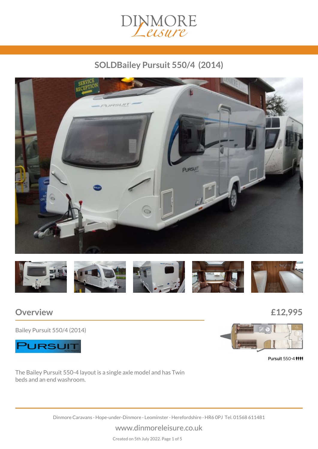

## *SOLDBailey Pursuit 550/4 (2014)*





## *Overview £12,995*

*Bailey Pursuit 550/4 (2014)*





Pursuit 550-4 ###

*The Bailey Pursuit 550-4 layout is a single axle model and has Twin beds and an end washroom.*

*Dinmore Caravans · Hope-under-Dinmore · Leominster · Herefordshire · HR6 0PJ Tel. 01568 611481*

*www.dinmoreleisure.co.uk*

*Created on 5th July 2022. Page 1 of 5*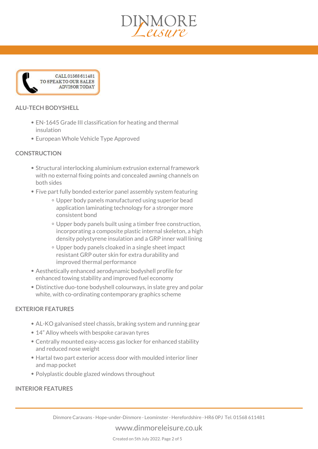



#### *ALU-TECH BODYSHELL*

- *EN-1645 Grade III classification for heating and thermal insulation*
- *European Whole Vehicle Type Approved*

#### *CONSTRUCTION*

- *Structural interlocking aluminium extrusion external framework with no external fixing points and concealed awning channels on both sides*
- *Five part fully bonded exterior panel assembly system featuring*
	- *Upper body panels manufactured using superior bead application laminating technology for a stronger more consistent bond*
	- *Upper body panels built using a timber free construction, incorporating a composite plastic internal skeleton, a high density polystyrene insulation and a GRP inner wall lining*
	- *Upper body panels cloaked in a single sheet impact resistant GRP outer skin for extra durability and improved thermal performance*
- *Aesthetically enhanced aerodynamic bodyshell profile for enhanced towing stability and improved fuel economy*
- *Distinctive duo-tone bodyshell colourways, in slate grey and polar white, with co-ordinating contemporary graphics scheme*

#### *EXTERIOR FEATURES*

- *AL-KO galvanised steel chassis, braking system and running gear*
- *14" Alloy wheels with bespoke caravan tyres*
- *Centrally mounted easy-access gas locker for enhanced stability and reduced nose weight*
- *Hartal two part exterior access door with moulded interior liner and map pocket*
- *Polyplastic double glazed windows throughout*

#### *INTERIOR FEATURES*

#### *www.dinmoreleisure.co.uk*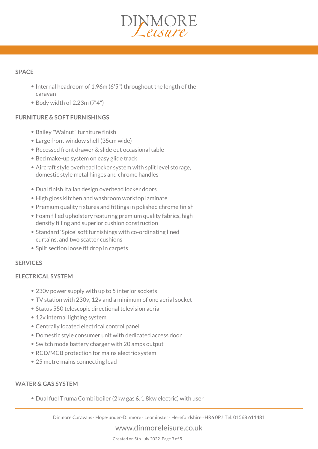# MMORE

#### *SPACE*

- *Internal headroom of 1.96m (6'5") throughout the length of the caravan*
- *Body width of 2.23m (7'4")*

#### *FURNITURE & SOFT FURNISHINGS*

- *Bailey "Walnut" furniture finish*
- *Large front window shelf (35cm wide)*
- *Recessed front drawer & slide out occasional table*
- *Bed make-up system on easy glide track*
- *Aircraft style overhead locker system with split level storage, domestic style metal hinges and chrome handles*
- *Dual finish Italian design overhead locker doors*
- *High gloss kitchen and washroom worktop laminate*
- *Premium quality fixtures and fittings in polished chrome finish*
- *Foam filled upholstery featuring premium quality fabrics, high density filling and superior cushion construction*
- *Standard 'Spice' soft furnishings with co-ordinating lined curtains, and two scatter cushions*
- *Split section loose fit drop in carpets*

#### *SERVICES*

#### *ELECTRICAL SYSTEM*

- *230v power supply with up to 5 interior sockets*
- *TV station with 230v, 12v and a minimum of one aerial socket*
- *Status 550 telescopic directional television aerial*
- *12v internal lighting system*
- *Centrally located electrical control panel*
- *Domestic style consumer unit with dedicated access door*
- *Switch mode battery charger with 20 amps output*
- *RCD/MCB protection for mains electric system*
- *25 metre mains connecting lead*

#### *WATER & GAS SYSTEM*

*Dual fuel Truma Combi boiler (2kw gas & 1.8kw electric) with user*

*Dinmore Caravans · Hope-under-Dinmore · Leominster · Herefordshire · HR6 0PJ Tel. 01568 611481*

#### *www.dinmoreleisure.co.uk*

*Created on 5th July 2022. Page 3 of 5*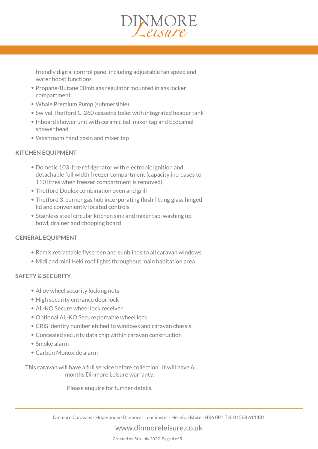

*friendly digital control panel including adjustable fan speed and water boost functions*

- *Propane/Butane 30mb gas regulator mounted in gas locker compartment*
- *Whale Premium Pump (submersible)*
- *Swivel Thetford C-260 cassette toilet with integrated header tank*
- *Inboard shower unit with ceramic ball mixer tap and Ecocamel shower head*
- *Washroom hand basin and mixer tap*

#### *KITCHEN EQUIPMENT*

- *Dometic 103 litre refrigerator with electronic ignition and detachable full width freezer compartment (capacity increases to 110 litres when freezer compartment is removed)*
- *Thetford Duplex combination oven and grill*
- *Thetford 3-burner gas hob incorporating flush fitting glass hinged lid and conveniently located controls*
- *Stainless steel circular kitchen sink and mixer tap, washing up bowl, drainer and chopping board*

#### *GENERAL EQUIPMENT*

- *Remis retractable flyscreen and sunblinds to all caravan windows*
- *Midi and mini Heki roof lights throughout main habitation area*

#### *SAFETY & SECURITY*

- *Alloy wheel security locking nuts*
- *High security entrance door lock*
- *AL-KO Secure wheel lock receiver*
- *Optional AL-KO Secure portable wheel lock*
- *CRiS identity number etched to windows and caravan chassis*
- *Concealed security data chip within caravan construction*
- *Smoke alarm*
- *Carbon Monoxide alarm*

*This caravan will have a full service before collection. It will have 6 months Dinmore Leisure warranty.*

*Please enquire for further details.*

#### *www.dinmoreleisure.co.uk*